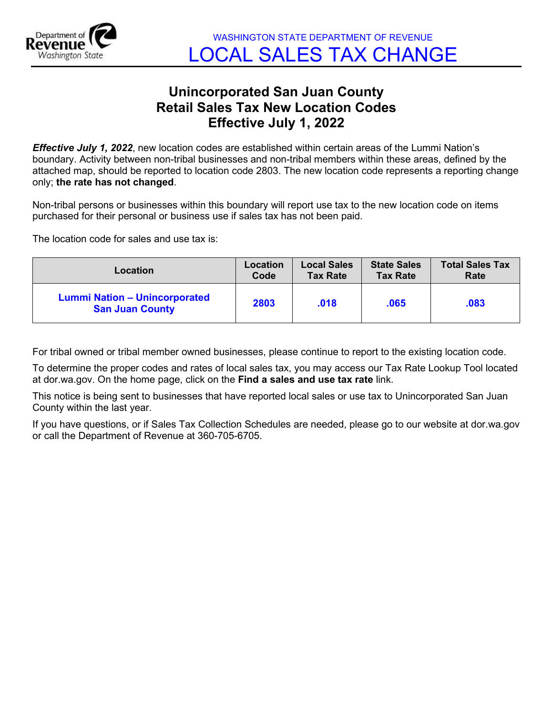

## **Unincorporated San Juan County Retail Sales Tax New Location Codes Effective July 1, 2022**

*Effective July 1, 2022*, new location codes are established within certain areas of the Lummi Nation's boundary. Activity between non-tribal businesses and non-tribal members within these areas, defined by the attached map, should be reported to location code 2803. The new location code represents a reporting change only; **the rate has not changed**.

Non-tribal persons or businesses within this boundary will report use tax to the new location code on items purchased for their personal or business use if sales tax has not been paid.

The location code for sales and use tax is:

| Location                                                       | <b>Location</b> | <b>Local Sales</b> | <b>State Sales</b> | <b>Total Sales Tax</b> |
|----------------------------------------------------------------|-----------------|--------------------|--------------------|------------------------|
|                                                                | Code            | <b>Tax Rate</b>    | <b>Tax Rate</b>    | Rate                   |
| <b>Lummi Nation - Unincorporated</b><br><b>San Juan County</b> | 2803            | .018               | .065               | .083                   |

For tribal owned or tribal member owned businesses, please continue to report to the existing location code.

To determine the proper codes and rates of local sales tax, you may access our Tax Rate Lookup Tool located at dor.wa.gov. On the home page, click on the **Find a sales and use tax rate** link.

This notice is being sent to businesses that have reported local sales or use tax to Unincorporated San Juan County within the last year.

If you have questions, or if Sales Tax Collection Schedules are needed, please go to our website at dor.wa.gov or call the Department of Revenue at 360-705-6705.